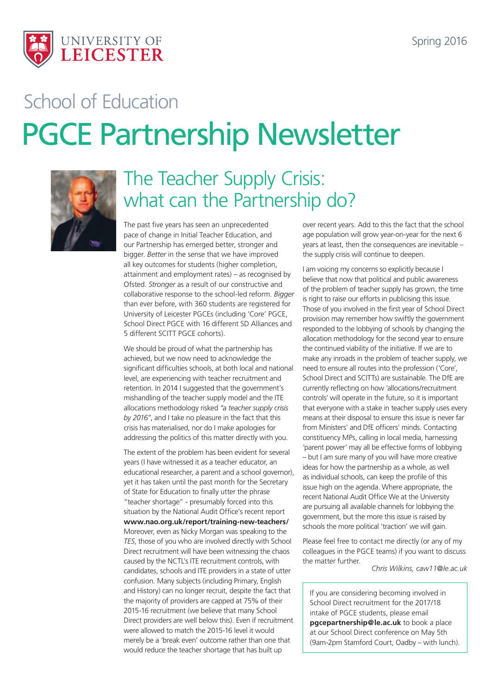

# PGCE Partnership Newsletter School of Education



## The Teacher Supply Crisis: what can the Partnership do?

The past five years has seen an unprecedented pace of change in Initial Teacher Education, and our Partnership has emerged better, stronger and bigger. *Better* in the sense that we have improved all key outcomes for students (higher completion, attainment and employment rates) – as recognised by Ofsted. *Stronger* as a result of our constructive and collaborative response to the school-led reform. *Bigger* than ever before, with 360 students are registered for University of Leicester PGCEs (including 'Core' PGCE, School Direct PGCE with 16 different SD Alliances and 5 different SCITT PGCE cohorts).

We should be proud of what the partnership has achieved, but we now need to acknowledge the significant difficulties schools, at both local and national level, are experiencing with teacher recruitment and retention. In 2014 I suggested that the government's mishandling of the teacher supply model and the ITE allocations methodology risked *"a teacher supply crisis by 2016"*, and I take no pleasure in the fact that this crisis has materialised, nor do I make apologies for addressing the politics of this matter directly with you.

The extent of the problem has been evident for several years (I have witnessed it as a teacher educator, an educational researcher, a parent and a school governor), yet it has taken until the past month for the Secretary of State for Education to finally utter the phrase "teacher shortage" - presumably forced into this situation by the National Audit Office's recent report **www.nao.org.uk/report/training-new-teachers/** Moreover, even as Nicky Morgan was speaking to the *TES*, those of you who are involved directly with School Direct recruitment will have been witnessing the chaos caused by the NCTL's ITE recruitment controls, with candidates, schools and ITE providers in a state of utter confusion. Many subjects (including Primary, English and History) can no longer recruit, despite the fact that the majority of providers are capped at 75% of their 2015-16 recruitment (we believe that many School Direct providers are well below this). Even if recruitment were allowed to match the 2015-16 level it would merely be a 'break even' outcome rather than one that would reduce the teacher shortage that has built up

over recent years. Add to this the fact that the school age population will grow year-on-year for the next 6 years at least, then the consequences are inevitable – the supply crisis will continue to deepen.

I am voicing my concerns so explicitly because I believe that now that political and public awareness of the problem of teacher supply has grown, the time is right to raise our efforts in publicising this issue. Those of you involved in the first year of School Direct provision may remember how swiftly the government responded to the lobbying of schools by changing the allocation methodology for the second year to ensure the continued viability of the initiative. If we are to make any inroads in the problem of teacher supply, we need to ensure all routes into the profession ('Core', School Direct and SCITTs) are sustainable. The DfE are currently reflecting on how 'allocations/recruitment controls' will operate in the future, so it is important that everyone with a stake in teacher supply uses every means at their disposal to ensure this issue is never far from Ministers' and DfE officers' minds. Contacting constituency MPs, calling in local media, harnessing 'parent power' may all be effective forms of lobbying – but I am sure many of you will have more creative ideas for how the partnership as a whole, as well as individual schools, can keep the profile of this issue high on the agenda. Where appropriate, the recent National Audit Office We at the University are pursuing all available channels for lobbying the government, but the more this issue is raised by schools the more political 'traction' we will gain.

Please feel free to contact me directly (or any of my colleagues in the PGCE teams) if you want to discuss the matter further.

*Chris Wilkins, caw11@le.ac.uk*

If you are considering becoming involved in School Direct recruitment for the 2017/18 intake of PGCE students, please email **pgcepartnership@le.ac.uk** to book a place at our School Direct conference on May 5th (9am-2pm Stamford Court, Oadby – with lunch).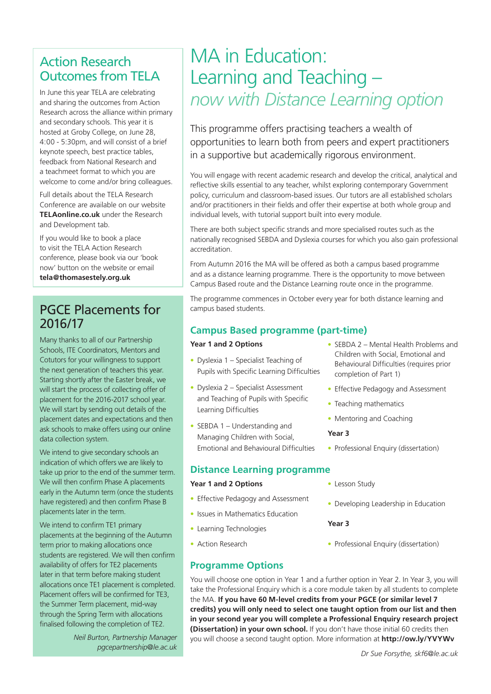### Action Research Outcomes from TELA

In June this year TELA are celebrating and sharing the outcomes from Action Research across the alliance within primary and secondary schools. This year it is hosted at Groby College, on June 28, 4:00 - 5:30pm, and will consist of a brief keynote speech, best practice tables, feedback from National Research and a teachmeet format to which you are welcome to come and/or bring colleagues.

Full details about the TELA Research Conference are available on our website **[TELAonline.co.uk](http://telaonline.co.uk)** under the Research and Development tab.

If you would like to book a place to visit the TELA Action Research conference, please book via our 'book now' button on the website or email **tela@thomasestely.org.uk**

### PGCE Placements for 2016/17

Many thanks to all of our Partnership Schools, ITE Coordinators, Mentors and Cotutors for your willingness to support the next generation of teachers this year. Starting shortly after the Easter break, we will start the process of collecting offer of placement for the 2016-2017 school year. We will start by sending out details of the placement dates and expectations and then ask schools to make offers using our online data collection system.

We intend to give secondary schools an indication of which offers we are likely to take up prior to the end of the summer term. We will then confirm Phase A placements early in the Autumn term (once the students have registered) and then confirm Phase B placements later in the term.

We intend to confirm TE1 primary placements at the beginning of the Autumn term prior to making allocations once students are registered. We will then confirm availability of offers for TE2 placements later in that term before making student allocations once TE1 placement is completed. Placement offers will be confirmed for TE3, the Summer Term placement, mid-way through the Spring Term with allocations finalised following the completion of TE2.

> *Neil Burton, Partnership Manager pgcepartnership@le.ac.uk*

## MA in Education: Learning and Teaching – *now with Distance Learning option*

This programme offers practising teachers a wealth of opportunities to learn both from peers and expert practitioners in a supportive but academically rigorous environment.

You will engage with recent academic research and develop the critical, analytical and reflective skills essential to any teacher, whilst exploring contemporary Government policy, curriculum and classroom-based issues. Our tutors are all established scholars and/or practitioners in their fields and offer their expertise at both whole group and individual levels, with tutorial support built into every module.

There are both subject specific strands and more specialised routes such as the nationally recognised SEBDA and Dyslexia courses for which you also gain professional accreditation.

From Autumn 2016 the MA will be offered as both a campus based programme and as a distance learning programme. There is the opportunity to move between Campus Based route and the Distance Learning route once in the programme.

The programme commences in October every year for both distance learning and campus based students.

#### **Campus Based programme (part-time)**

#### **Year 1 and 2 Options**

- Dyslexia 1 Specialist Teaching of Pupils with Specific Learning Difficulties
- Dyslexia 2 Specialist Assessment and Teaching of Pupils with Specific Learning Difficulties
- SEBDA 1 Understanding and Managing Children with Social, Emotional and Behavioural Difficulties

#### **Distance Learning programme**

#### **Year 1 and 2 Options**

- Effective Pedagogy and Assessment
- Issues in Mathematics Education
- Learning Technologies
- Action Research

#### **Programme Options**

- SEBDA 2 Mental Health Problems and Children with Social, Emotional and Behavioural Difficulties (requires prior completion of Part 1)
	- Effective Pedagogy and Assessment
	- Teaching mathematics
	- Mentoring and Coaching

#### **Year 3**

- Professional Enquiry (dissertation)
- Lesson Study
- Developing Leadership in Education

#### **Year 3**

• Professional Enquiry (dissertation)

You will choose one option in Year 1 and a further option in Year 2. In Year 3, you will take the Professional Enquiry which is a core module taken by all students to complete the MA. **If you have 60 M-level credits from your PGCE (or similar level 7 credits) you will only need to select one taught option from our list and then in your second year you will complete a Professional Enquiry research project (Dissertation) in your own school.** If you don't have those initial 60 credits then you will choose a second taught option. More information at **http://ow.ly/YVYWv**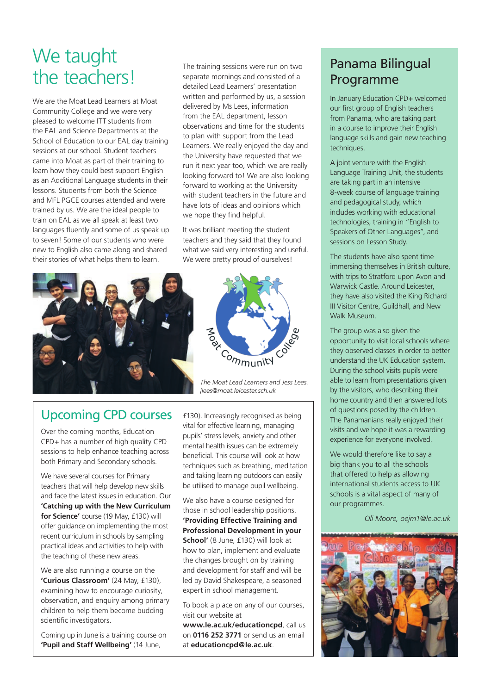## We taught the teachers!

We are the Moat Lead Learners at Moat Community College and we were very pleased to welcome ITT students from the EAL and Science Departments at the School of Education to our EAL day training sessions at our school. Student teachers came into Moat as part of their training to learn how they could best support English as an Additional Language students in their lessons. Students from both the Science and MFL PGCE courses attended and were trained by us. We are the ideal people to train on EAL as we all speak at least two languages fluently and some of us speak up to seven! Some of our students who were new to English also came along and shared their stories of what helps them to learn.

The training sessions were run on two separate mornings and consisted of a detailed Lead Learners' presentation written and performed by us, a session delivered by Ms Lees, information from the FAL department, lesson observations and time for the students to plan with support from the Lead Learners. We really enjoyed the day and the University have requested that we run it next year too, which we are really looking forward to! We are also looking forward to working at the University with student teachers in the future and have lots of ideas and opinions which we hope they find helpful.

It was brilliant meeting the student teachers and they said that they found what we said very interesting and useful. We were pretty proud of ourselves!



Aroac Community

*The Moat Lead Learners and Jess Lees. jlees@moat.leicester.sch.uk*

Upcoming CPD courses

Over the coming months, Education CPD+ has a number of high quality CPD sessions to help enhance teaching across both Primary and Secondary schools.

We have several courses for Primary teachers that will help develop new skills and face the latest issues in education. Our **'Catching up with the New Curriculum for Science'** course (19 May, £130) will offer guidance on implementing the most recent curriculum in schools by sampling practical ideas and activities to help with the teaching of these new areas.

We are also running a course on the **'Curious Classroom'** (24 May, £130), examining how to encourage curiosity, observation, and enquiry among primary children to help them become budding scientific investigators.

Coming up in June is a training course on **'Pupil and Staff Wellbeing'** (14 June,

£130). Increasingly recognised as being vital for effective learning, managing pupils' stress levels, anxiety and other mental health issues can be extremely beneficial. This course will look at how techniques such as breathing, meditation and taking learning outdoors can easily be utilised to manage pupil wellbeing.

We also have a course designed for those in school leadership positions. **'Providing Effective Training and Professional Development in your School'** (8 June, £130) will look at how to plan, implement and evaluate the changes brought on by training and development for staff and will be led by David Shakespeare, a seasoned expert in school management.

To book a place on any of our courses, visit our website at

**www.le.ac.uk/educationcpd**, call us on **0116 252 3771** or send us an email at **educationcpd@le.ac.uk**.

### Panama Bilingual Programme

In January Education CPD+ welcomed our first group of English teachers from Panama, who are taking part in a course to improve their English language skills and gain new teaching techniques.

A joint venture with the English Language Training Unit, the students are taking part in an intensive 8-week course of language training and pedagogical study, which includes working with educational technologies, training in "English to Speakers of Other Languages", and sessions on Lesson Study.

The students have also spent time immersing themselves in British culture, with trips to Stratford upon Avon and Warwick Castle. Around Leicester, they have also visited the King Richard III Visitor Centre, Guildhall, and New Walk Museum.

The group was also given the opportunity to visit local schools where they observed classes in order to better understand the UK Education system. During the school visits pupils were able to learn from presentations given by the visitors, who describing their home country and then answered lots of questions posed by the children. The Panamanians really enjoyed their visits and we hope it was a rewarding experience for everyone involved.

We would therefore like to say a big thank you to all the schools that offered to help as allowing international students access to UK schools is a vital aspect of many of our programmes.

*Oli Moore, oejm1@le.ac.uk*